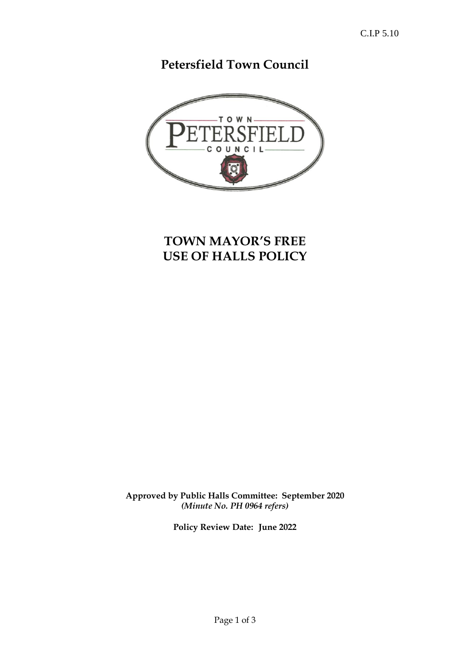**Petersfield Town Council** 



# **TOWN MAYOR'S FREE USE OF HALLS POLICY**

**Approved by Public Halls Committee: September 2020** *(Minute No. PH 0964 refers)*

**Policy Review Date: June 2022**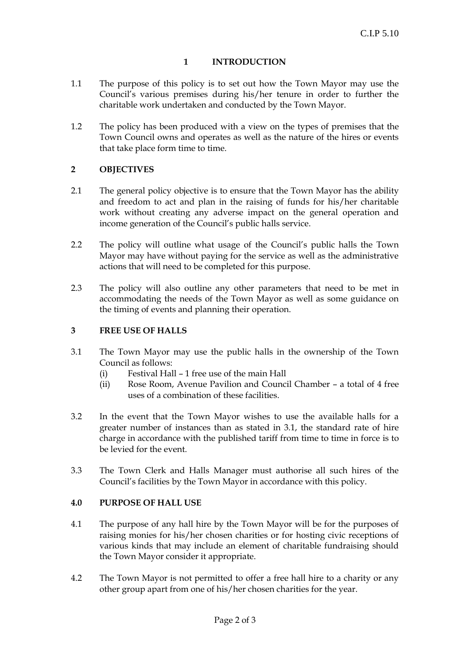## **1 INTRODUCTION**

- 1.1 The purpose of this policy is to set out how the Town Mayor may use the Council's various premises during his/her tenure in order to further the charitable work undertaken and conducted by the Town Mayor.
- 1.2 The policy has been produced with a view on the types of premises that the Town Council owns and operates as well as the nature of the hires or events that take place form time to time.

# **2 OBJECTIVES**

- 2.1 The general policy objective is to ensure that the Town Mayor has the ability and freedom to act and plan in the raising of funds for his/her charitable work without creating any adverse impact on the general operation and income generation of the Council's public halls service.
- 2.2 The policy will outline what usage of the Council's public halls the Town Mayor may have without paying for the service as well as the administrative actions that will need to be completed for this purpose.
- 2.3 The policy will also outline any other parameters that need to be met in accommodating the needs of the Town Mayor as well as some guidance on the timing of events and planning their operation.

# **3 FREE USE OF HALLS**

- 3.1 The Town Mayor may use the public halls in the ownership of the Town Council as follows:
	- (i) Festival Hall 1 free use of the main Hall
	- (ii) Rose Room, Avenue Pavilion and Council Chamber a total of 4 free uses of a combination of these facilities.
- 3.2 In the event that the Town Mayor wishes to use the available halls for a greater number of instances than as stated in 3.1, the standard rate of hire charge in accordance with the published tariff from time to time in force is to be levied for the event.
- 3.3 The Town Clerk and Halls Manager must authorise all such hires of the Council's facilities by the Town Mayor in accordance with this policy.

### **4.0 PURPOSE OF HALL USE**

- 4.1 The purpose of any hall hire by the Town Mayor will be for the purposes of raising monies for his/her chosen charities or for hosting civic receptions of various kinds that may include an element of charitable fundraising should the Town Mayor consider it appropriate.
- 4.2 The Town Mayor is not permitted to offer a free hall hire to a charity or any other group apart from one of his/her chosen charities for the year.